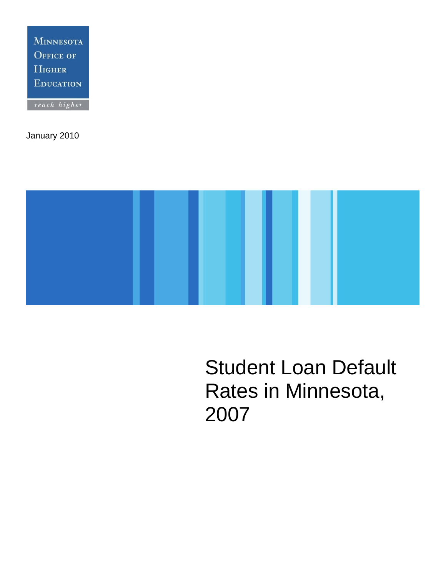**MINNESOTA OFFICE OF** HIGHER EDUCATION reach higher

January 2010



# Student Loan Default Rates in Minnesota, 2007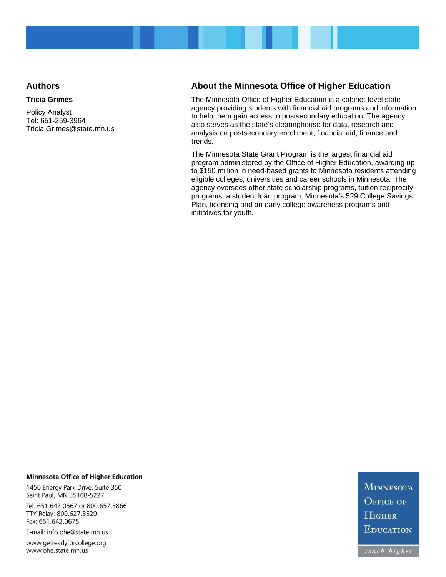**Tricia Grimes** 

Policy Analyst Tel: 651-259-3964 Tricia.Grimes@state.mn.us

#### Authors **Authors About the Minnesota Office of Higher Education**

The Minnesota Office of Higher Education is a cabinet-level state agency providing students with financial aid programs and information to help them gain access to postsecondary education. The agency also serves as the state's clearinghouse for data, research and analysis on postsecondary enrollment, financial aid, finance and trends.

The Minnesota State Grant Program is the largest financial aid program administered by the Office of Higher Education, awarding up to \$150 million in need-based grants to Minnesota residents attending eligible colleges, universities and career schools in Minnesota. The agency oversees other state scholarship programs, tuition reciprocity programs, a student loan program, Minnesota's 529 College Savings Plan, licensing and an early college awareness programs and initiatives for youth.

#### **Minnesota Office of Higher Education**

1450 Energy Park Drive, Suite 350 Saint Paul, MN 55108-5227

Tel: 651.642.0567 or 800.657.3866 TTY Relay: 800.627.3529 Fax: 651.642.0675

E-mail: info.ohe@state.mn.us

www.getreadyforcollege.org www.ohe.state.mn.us

**MINNESOTA OFFICE OF HIGHER EDUCATION** 

reach higher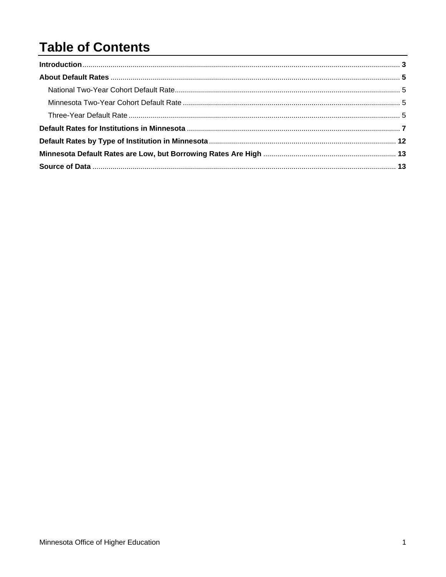### **Table of Contents**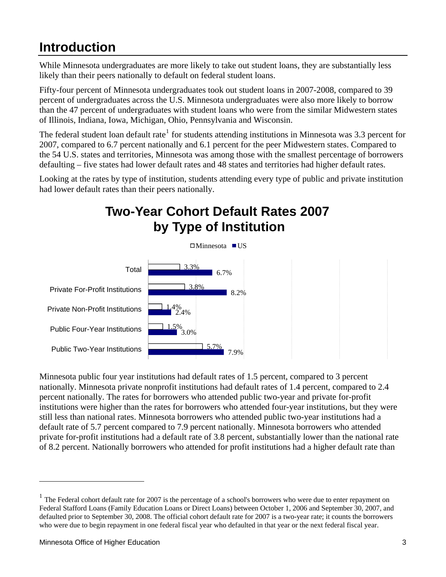#### <span id="page-4-0"></span>**Introduction**

While Minnesota undergraduates are more likely to take out student loans, they are substantially less likely than their peers nationally to default on federal student loans.

Fifty-four percent of Minnesota undergraduates took out student loans in 2007-2008, compared to 39 percent of undergraduates across the U.S. Minnesota undergraduates were also more likely to borrow than the 47 percent of undergraduates with student loans who were from the similar Midwestern states of Illinois, Indiana, Iowa, Michigan, Ohio, Pennsylvania and Wisconsin.

The federal student loan default rate<sup>[1](#page-4-1)</sup> for students attending institutions in Minnesota was 3.3 percent for 2007, compared to 6.7 percent nationally and 6.1 percent for the peer Midwestern states. Compared to the 54 U.S. states and territories, Minnesota was among those with the smallest percentage of borrowers defaulting – five states had lower default rates and 48 states and territories had higher default rates.

Looking at the rates by type of institution, students attending every type of public and private institution had lower default rates than their peers nationally.

## **Two-Year Cohort Default Rates 2007 by Type of Institution**



Minnesota public four year institutions had default rates of 1.5 percent, compared to 3 percent nationally. Minnesota private nonprofit institutions had default rates of 1.4 percent, compared to 2.4 percent nationally. The rates for borrowers who attended public two-year and private for-profit institutions were higher than the rates for borrowers who attended four-year institutions, but they were still less than national rates. Minnesota borrowers who attended public two-year institutions had a default rate of 5.7 percent compared to 7.9 percent nationally. Minnesota borrowers who attended private for-profit institutions had a default rate of 3.8 percent, substantially lower than the national rate of 8.2 percent. Nationally borrowers who attended for profit institutions had a higher default rate than

 $\overline{a}$ 

<span id="page-4-1"></span> $<sup>1</sup>$  The Federal cohort default rate for 2007 is the percentage of a school's borrowers who were due to enter repayment on</sup> Federal Stafford Loans (Family Education Loans or Direct Loans) between October 1, 2006 and September 30, 2007, and defaulted prior to September 30, 2008. The official cohort default rate for 2007 is a two-year rate; it counts the borrowers who were due to begin repayment in one federal fiscal year who defaulted in that year or the next federal fiscal year.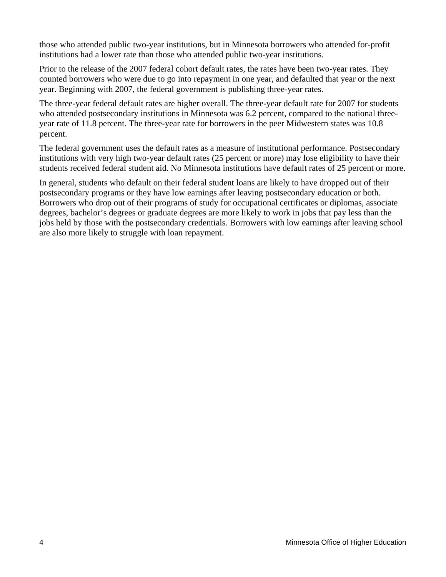those who attended public two-year institutions, but in Minnesota borrowers who attended for-profit institutions had a lower rate than those who attended public two-year institutions.

Prior to the release of the 2007 federal cohort default rates, the rates have been two-year rates. They counted borrowers who were due to go into repayment in one year, and defaulted that year or the next year. Beginning with 2007, the federal government is publishing three-year rates.

The three-year federal default rates are higher overall. The three-year default rate for 2007 for students who attended postsecondary institutions in Minnesota was 6.2 percent, compared to the national threeyear rate of 11.8 percent. The three-year rate for borrowers in the peer Midwestern states was 10.8 percent.

The federal government uses the default rates as a measure of institutional performance. Postsecondary institutions with very high two-year default rates (25 percent or more) may lose eligibility to have their students received federal student aid. No Minnesota institutions have default rates of 25 percent or more.

In general, students who default on their federal student loans are likely to have dropped out of their postsecondary programs or they have low earnings after leaving postsecondary education or both. Borrowers who drop out of their programs of study for occupational certificates or diplomas, associate degrees, bachelor's degrees or graduate degrees are more likely to work in jobs that pay less than the jobs held by those with the postsecondary credentials. Borrowers with low earnings after leaving school are also more likely to struggle with loan repayment.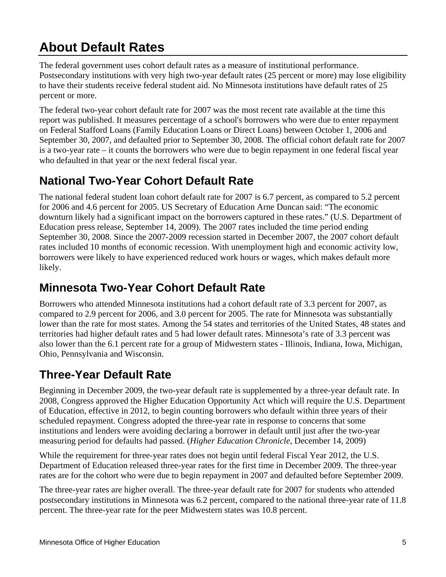### <span id="page-6-0"></span>**About Default Rates**

The federal government uses cohort default rates as a measure of institutional performance. Postsecondary institutions with very high two-year default rates (25 percent or more) may lose eligibility to have their students receive federal student aid. No Minnesota institutions have default rates of 25 percent or more.

The federal two-year cohort default rate for 2007 was the most recent rate available at the time this report was published. It measures percentage of a school's borrowers who were due to enter repayment on Federal Stafford Loans (Family Education Loans or Direct Loans) between October 1, 2006 and September 30, 2007, and defaulted prior to September 30, 2008. The official cohort default rate for 2007 is a two-year rate – it counts the borrowers who were due to begin repayment in one federal fiscal year who defaulted in that year or the next federal fiscal year.

#### **National Two-Year Cohort Default Rate**

The national federal student loan cohort default rate for 2007 is 6.7 percent, as compared to 5.2 percent for 2006 and 4.6 percent for 2005. US Secretary of Education Arne Duncan said: "The economic downturn likely had a significant impact on the borrowers captured in these rates." (U.S. Department of Education press release, September 14, 2009). The 2007 rates included the time period ending September 30, 2008. Since the 2007-2009 recession started in December 2007, the 2007 cohort default rates included 10 months of economic recession. With unemployment high and economic activity low, borrowers were likely to have experienced reduced work hours or wages, which makes default more likely.

#### **Minnesota Two-Year Cohort Default Rate**

Borrowers who attended Minnesota institutions had a cohort default rate of 3.3 percent for 2007, as compared to 2.9 percent for 2006, and 3.0 percent for 2005. The rate for Minnesota was substantially lower than the rate for most states. Among the 54 states and territories of the United States, 48 states and territories had higher default rates and 5 had lower default rates. Minnesota's rate of 3.3 percent was also lower than the 6.1 percent rate for a group of Midwestern states - Illinois, Indiana, Iowa, Michigan, Ohio, Pennsylvania and Wisconsin.

#### **Three-Year Default Rate**

Beginning in December 2009, the two-year default rate is supplemented by a three-year default rate. In 2008, Congress approved the Higher Education Opportunity Act which will require the U.S. Department of Education, effective in 2012, to begin counting borrowers who default within three years of their scheduled repayment. Congress adopted the three-year rate in response to concerns that some institutions and lenders were avoiding declaring a borrower in default until just after the two-year measuring period for defaults had passed. (*Higher Education Chronicle*, December 14, 2009)

While the requirement for three-year rates does not begin until federal Fiscal Year 2012, the U.S. Department of Education released three-year rates for the first time in December 2009. The three-year rates are for the cohort who were due to begin repayment in 2007 and defaulted before September 2009.

The three-year rates are higher overall. The three-year default rate for 2007 for students who attended postsecondary institutions in Minnesota was 6.2 percent, compared to the national three-year rate of 11.8 percent. The three-year rate for the peer Midwestern states was 10.8 percent.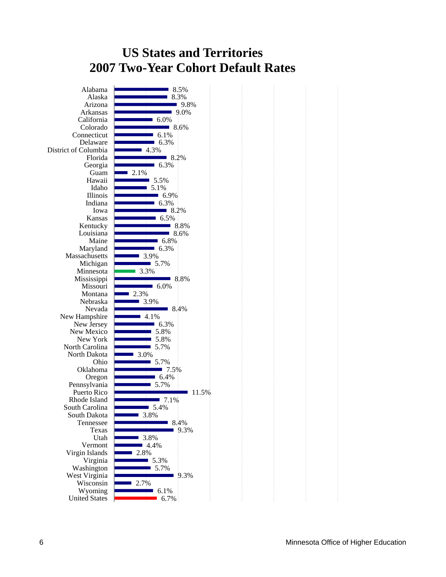#### **US States and Territories 2007 Two-Year Cohort Default Rates**

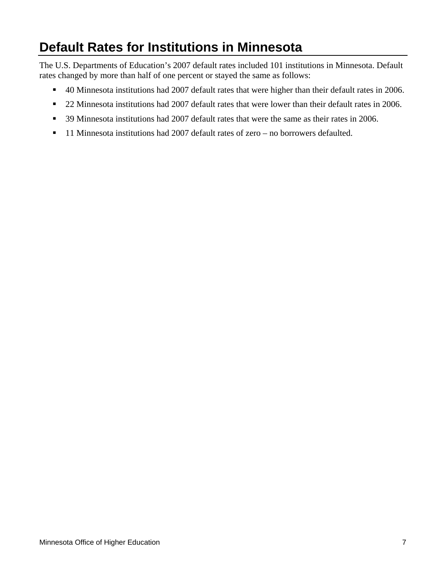#### <span id="page-8-0"></span>**Default Rates for Institutions in Minnesota**

The U.S. Departments of Education's 2007 default rates included 101 institutions in Minnesota. Default rates changed by more than half of one percent or stayed the same as follows:

- <sup>40</sup> Minnesota institutions had 2007 default rates that were higher than their default rates in 2006.
- <sup>22</sup> Minnesota institutions had 2007 default rates that were lower than their default rates in 2006.
- <sup>39</sup> Minnesota institutions had 2007 default rates that were the same as their rates in 2006.
- 11 Minnesota institutions had 2007 default rates of zero no borrowers defaulted.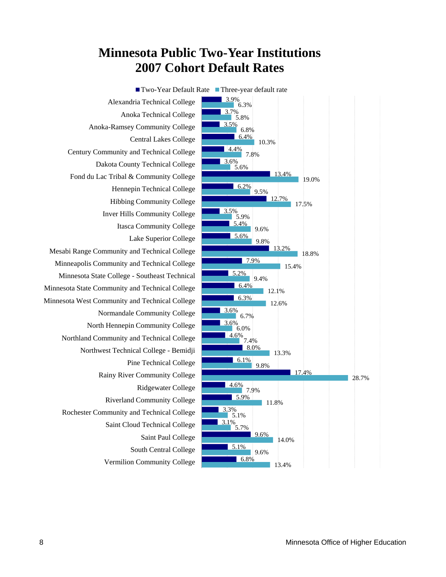#### **Minnesota Public Two-Year Institutions 2007 Cohort Default Rates**

Alexandria Technical College Anoka Technical College Anoka-Ramsey Community College Central Lakes College Century Community and Technical College Dakota County Technical College Fond du Lac Tribal & Community College Hennepin Technical College Hibbing Community College Inver Hills Community College Itasca Community College Lake Superior College Mesabi Range Community and Technical College Minneapolis Community and Technical College Minnesota State College - Southeast Technical Minnesota State Community and Technical College Minnesota West Community and Technical College Normandale Community College North Hennepin Community College Northland Community and Technical College Northwest Technical College - Bemidji Pine Technical College Rainy River Community College Ridgewater College Riverland Community College Rochester Community and Technical College Saint Cloud Technical College Saint Paul College South Central College Vermilion Community College

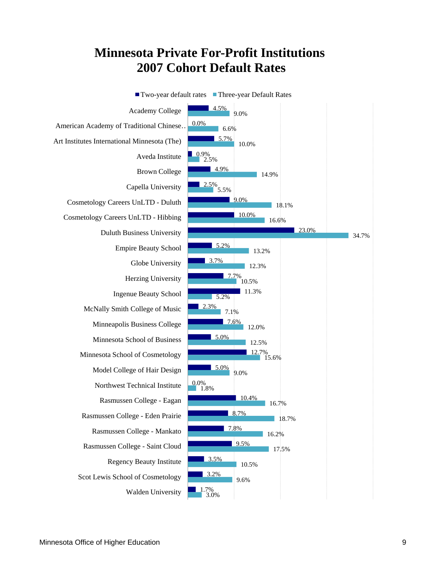#### **Minnesota Private For-Profit Institutions 2007 Cohort Default Rates**

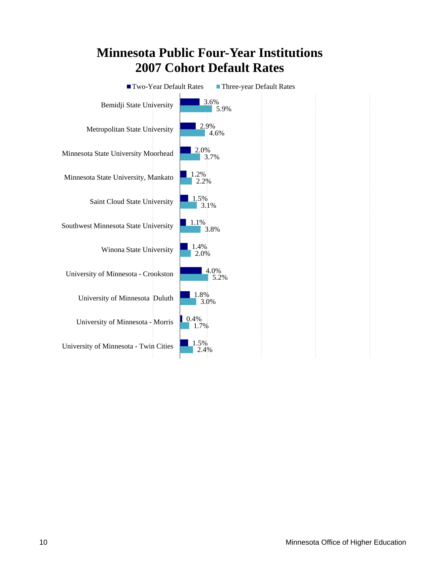

# **Minnesota Public Four-Year Institutions**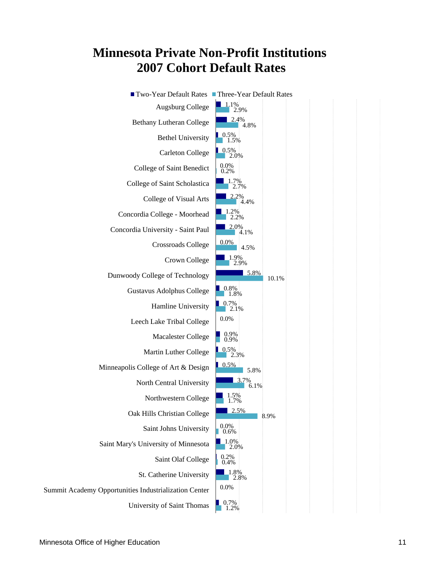#### **Minnesota Private Non-Profit Institutions 2007 Cohort Default Rates**

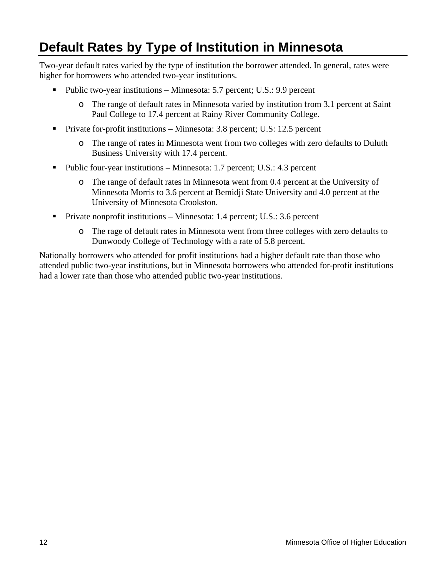#### <span id="page-13-0"></span>**Default Rates by Type of Institution in Minnesota**

Two-year default rates varied by the type of institution the borrower attended. In general, rates were higher for borrowers who attended two-year institutions.

- Public two-year institutions Minnesota: 5.7 percent; U.S.: 9.9 percent
	- o The range of default rates in Minnesota varied by institution from 3.1 percent at Saint Paul College to 17.4 percent at Rainy River Community College.
- Private for-profit institutions Minnesota: 3.8 percent; U.S: 12.5 percent
	- o The range of rates in Minnesota went from two colleges with zero defaults to Duluth Business University with 17.4 percent.
- Public four-year institutions Minnesota: 1.7 percent; U.S.: 4.3 percent
	- o The range of default rates in Minnesota went from 0.4 percent at the University of Minnesota Morris to 3.6 percent at Bemidji State University and 4.0 percent at the University of Minnesota Crookston.
- Private nonprofit institutions Minnesota: 1.4 percent; U.S.: 3.6 percent
	- o The rage of default rates in Minnesota went from three colleges with zero defaults to Dunwoody College of Technology with a rate of 5.8 percent.

Nationally borrowers who attended for profit institutions had a higher default rate than those who attended public two-year institutions, but in Minnesota borrowers who attended for-profit institutions had a lower rate than those who attended public two-year institutions.